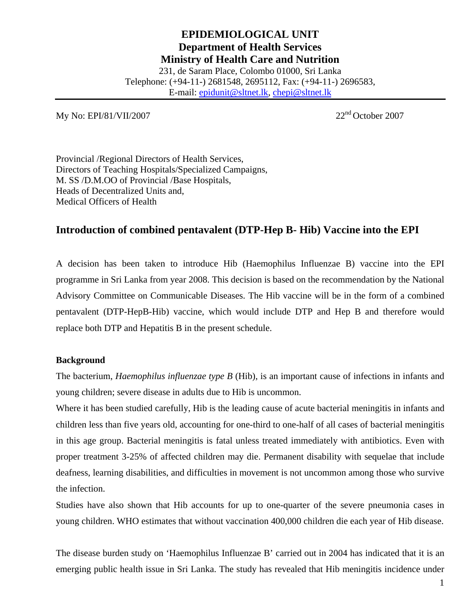# **EPIDEMIOLOGICAL UNIT Department of Health Services Ministry of Health Care and Nutrition**  231, de Saram Place, Colombo 01000, Sri Lanka Telephone: (+94-11-) 2681548, 2695112, Fax: (+94-11-) 2696583,

E-mail: epidunit@sltnet.lk, chepi@sltnet.lk

My No: EPI/81/VII/2007 22<sup>nd</sup> October 2007

Provincial /Regional Directors of Health Services, Directors of Teaching Hospitals/Specialized Campaigns, M. SS /D.M.OO of Provincial /Base Hospitals, Heads of Decentralized Units and, Medical Officers of Health

# **Introduction of combined pentavalent (DTP-Hep B- Hib) Vaccine into the EPI**

A decision has been taken to introduce Hib (Haemophilus Influenzae B) vaccine into the EPI programme in Sri Lanka from year 2008. This decision is based on the recommendation by the National Advisory Committee on Communicable Diseases. The Hib vaccine will be in the form of a combined pentavalent (DTP-HepB-Hib) vaccine, which would include DTP and Hep B and therefore would replace both DTP and Hepatitis B in the present schedule.

#### **Background**

The bacterium, *Haemophilus influenzae type B* (Hib), is an important cause of infections in infants and young children; severe disease in adults due to Hib is uncommon.

Where it has been studied carefully, Hib is the leading cause of acute bacterial meningitis in infants and children less than five years old, accounting for one-third to one-half of all cases of bacterial meningitis in this age group. Bacterial meningitis is fatal unless treated immediately with antibiotics. Even with proper treatment 3-25% of affected children may die. Permanent disability with sequelae that include deafness, learning disabilities, and difficulties in movement is not uncommon among those who survive the infection.

Studies have also shown that Hib accounts for up to one-quarter of the severe pneumonia cases in young children. WHO estimates that without vaccination 400,000 children die each year of Hib disease.

The disease burden study on 'Haemophilus Influenzae B' carried out in 2004 has indicated that it is an emerging public health issue in Sri Lanka. The study has revealed that Hib meningitis incidence under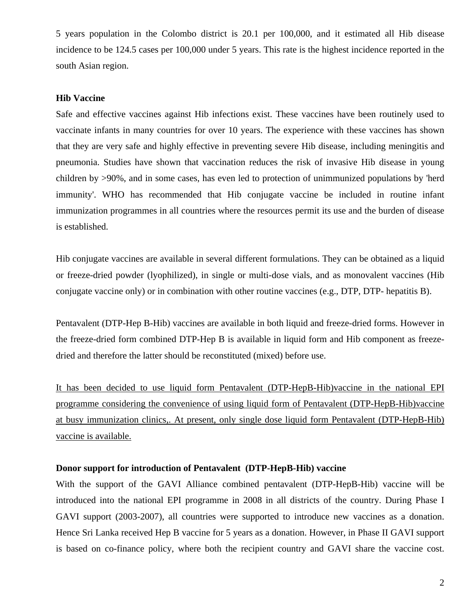5 years population in the Colombo district is 20.1 per 100,000, and it estimated all Hib disease incidence to be 124.5 cases per 100,000 under 5 years. This rate is the highest incidence reported in the south Asian region.

#### **Hib Vaccine**

Safe and effective vaccines against Hib infections exist. These vaccines have been routinely used to vaccinate infants in many countries for over 10 years. The experience with these vaccines has shown that they are very safe and highly effective in preventing severe Hib disease, including meningitis and pneumonia. Studies have shown that vaccination reduces the risk of invasive Hib disease in young children by >90%, and in some cases, has even led to protection of unimmunized populations by 'herd immunity'. WHO has recommended that Hib conjugate vaccine be included in routine infant immunization programmes in all countries where the resources permit its use and the burden of disease is established.

Hib conjugate vaccines are available in several different formulations. They can be obtained as a liquid or freeze-dried powder (lyophilized), in single or multi-dose vials, and as monovalent vaccines (Hib conjugate vaccine only) or in combination with other routine vaccines (e.g., DTP, DTP- hepatitis B).

Pentavalent (DTP-Hep B-Hib) vaccines are available in both liquid and freeze-dried forms. However in the freeze-dried form combined DTP-Hep B is available in liquid form and Hib component as freezedried and therefore the latter should be reconstituted (mixed) before use.

It has been decided to use liquid form Pentavalent (DTP-HepB-Hib)vaccine in the national EPI programme considering the convenience of using liquid form of Pentavalent (DTP-HepB-Hib)vaccine at busy immunization clinics,. At present, only single dose liquid form Pentavalent (DTP-HepB-Hib) vaccine is available.

#### **Donor support for introduction of Pentavalent (DTP-HepB-Hib) vaccine**

With the support of the GAVI Alliance combined pentavalent (DTP-HepB-Hib) vaccine will be introduced into the national EPI programme in 2008 in all districts of the country. During Phase I GAVI support (2003-2007), all countries were supported to introduce new vaccines as a donation. Hence Sri Lanka received Hep B vaccine for 5 years as a donation. However, in Phase II GAVI support is based on co-finance policy, where both the recipient country and GAVI share the vaccine cost.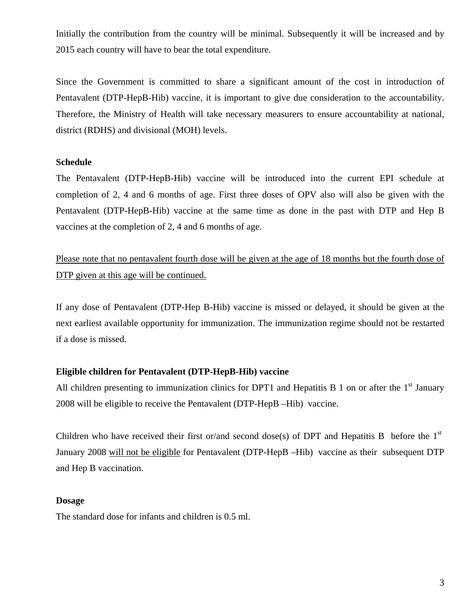Initially the contribution from the country will be minimal. Subsequently it will be increased and by 2015 each country will have to bear the total expenditure.

Since the Government is committed to share a significant amount of the cost in introduction of Pentavalent (DTP-HepB-Hib) vaccine, it is important to give due consideration to the accountability. Therefore, the Ministry of Health will take necessary measurers to ensure accountability at national, district (RDHS) and divisional (MOH) levels.

#### **Schedule**

The Pentavalent (DTP-HepB-Hib) vaccine will be introduced into the current EPI schedule at completion of 2, 4 and 6 months of age. First three doses of OPV also will also be given with the Pentavalent (DTP-HepB-Hib) vaccine at the same time as done in the past with DTP and Hep B vaccines at the completion of 2, 4 and 6 months of age.

Please note that no pentavalent fourth dose will be given at the age of 18 months but the fourth dose of DTP given at this age will be continued.

If any dose of Pentavalent (DTP-Hep B-Hib) vaccine is missed or delayed, it should be given at the next earliest available opportunity for immunization. The immunization regime should not be restarted if a dose is missed.

#### **Eligible children for Pentavalent (DTP-HepB-Hib) vaccine**

All children presenting to immunization clinics for DPT1 and Hepatitis B 1 on or after the  $1<sup>st</sup>$  January 2008 will be eligible to receive the Pentavalent (DTP-HepB –Hib) vaccine.

Children who have received their first or/and second dose(s) of DPT and Hepatitis B before the  $1<sup>st</sup>$ January 2008 will not be eligible for Pentavalent (DTP-HepB –Hib) vaccine as their subsequent DTP and Hep B vaccination.

#### **Dosage**

The standard dose for infants and children is 0.5 ml.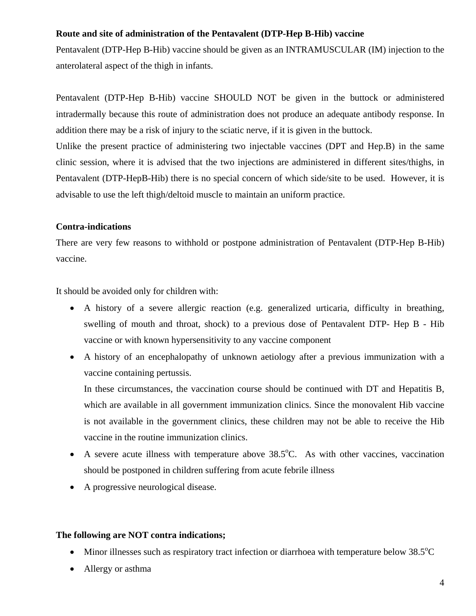#### **Route and site of administration of the Pentavalent (DTP-Hep B-Hib) vaccine**

Pentavalent (DTP-Hep B-Hib) vaccine should be given as an INTRAMUSCULAR (IM) injection to the anterolateral aspect of the thigh in infants.

Pentavalent (DTP-Hep B-Hib) vaccine SHOULD NOT be given in the buttock or administered intradermally because this route of administration does not produce an adequate antibody response. In addition there may be a risk of injury to the sciatic nerve, if it is given in the buttock.

Unlike the present practice of administering two injectable vaccines (DPT and Hep.B) in the same clinic session, where it is advised that the two injections are administered in different sites/thighs, in Pentavalent (DTP-HepB-Hib) there is no special concern of which side/site to be used. However, it is advisable to use the left thigh/deltoid muscle to maintain an uniform practice.

#### **Contra-indications**

There are very few reasons to withhold or postpone administration of Pentavalent (DTP-Hep B-Hib) vaccine.

It should be avoided only for children with:

- A history of a severe allergic reaction (e.g. generalized urticaria, difficulty in breathing, swelling of mouth and throat, shock) to a previous dose of Pentavalent DTP- Hep B - Hib vaccine or with known hypersensitivity to any vaccine component
- A history of an encephalopathy of unknown aetiology after a previous immunization with a vaccine containing pertussis.

In these circumstances, the vaccination course should be continued with DT and Hepatitis B, which are available in all government immunization clinics. Since the monovalent Hib vaccine is not available in the government clinics, these children may not be able to receive the Hib vaccine in the routine immunization clinics.

- A severe acute illness with temperature above  $38.5^{\circ}$ C. As with other vaccines, vaccination should be postponed in children suffering from acute febrile illness
- A progressive neurological disease.

#### **The following are NOT contra indications;**

- Minor illnesses such as respiratory tract infection or diarrhoea with temperature below  $38.5^{\circ}$ C
- Allergy or asthma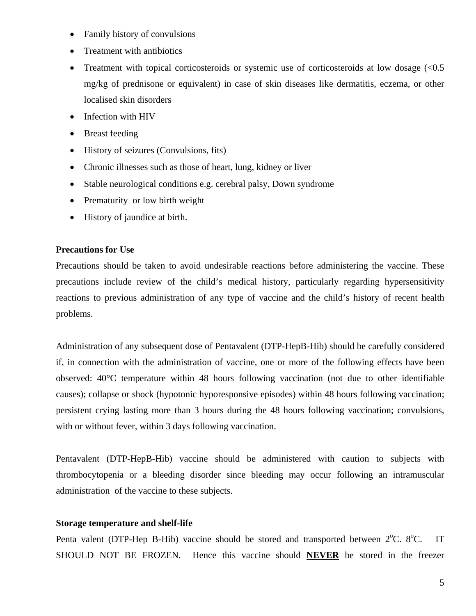- Family history of convulsions
- Treatment with antibiotics
- Treatment with topical corticosteroids or systemic use of corticosteroids at low dosage  $\ll 0.5$ mg/kg of prednisone or equivalent) in case of skin diseases like dermatitis, eczema, or other localised skin disorders
- Infection with HIV
- Breast feeding
- History of seizures (Convulsions, fits)
- Chronic illnesses such as those of heart, lung, kidney or liver
- Stable neurological conditions e.g. cerebral palsy, Down syndrome
- Prematurity or low birth weight
- History of jaundice at birth.

#### **Precautions for Use**

Precautions should be taken to avoid undesirable reactions before administering the vaccine. These precautions include review of the child's medical history, particularly regarding hypersensitivity reactions to previous administration of any type of vaccine and the child's history of recent health problems.

Administration of any subsequent dose of Pentavalent (DTP-HepB-Hib) should be carefully considered if, in connection with the administration of vaccine, one or more of the following effects have been observed: 40°C temperature within 48 hours following vaccination (not due to other identifiable causes); collapse or shock (hypotonic hyporesponsive episodes) within 48 hours following vaccination; persistent crying lasting more than 3 hours during the 48 hours following vaccination; convulsions, with or without fever, within 3 days following vaccination.

Pentavalent (DTP-HepB-Hib) vaccine should be administered with caution to subjects with thrombocytopenia or a bleeding disorder since bleeding may occur following an intramuscular administration of the vaccine to these subjects.

#### **Storage temperature and shelf-life**

Penta valent (DTP-Hep B-Hib) vaccine should be stored and transported between  $2^{\circ}$ C.  $8^{\circ}$ C. IT SHOULD NOT BE FROZEN. Hence this vaccine should **NEVER** be stored in the freezer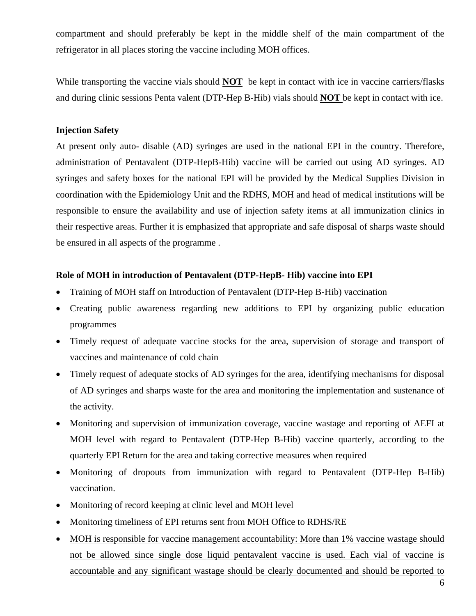compartment and should preferably be kept in the middle shelf of the main compartment of the refrigerator in all places storing the vaccine including MOH offices.

While transporting the vaccine vials should **NOT** be kept in contact with ice in vaccine carriers/flasks and during clinic sessions Penta valent (DTP-Hep B-Hib) vials should **NOT** be kept in contact with ice.

#### **Injection Safety**

At present only auto- disable (AD) syringes are used in the national EPI in the country. Therefore, administration of Pentavalent (DTP-HepB-Hib) vaccine will be carried out using AD syringes. AD syringes and safety boxes for the national EPI will be provided by the Medical Supplies Division in coordination with the Epidemiology Unit and the RDHS, MOH and head of medical institutions will be responsible to ensure the availability and use of injection safety items at all immunization clinics in their respective areas. Further it is emphasized that appropriate and safe disposal of sharps waste should be ensured in all aspects of the programme .

#### **Role of MOH in introduction of Pentavalent (DTP-HepB- Hib) vaccine into EPI**

- Training of MOH staff on Introduction of Pentavalent (DTP-Hep B-Hib) vaccination
- Creating public awareness regarding new additions to EPI by organizing public education programmes
- Timely request of adequate vaccine stocks for the area, supervision of storage and transport of vaccines and maintenance of cold chain
- Timely request of adequate stocks of AD syringes for the area, identifying mechanisms for disposal of AD syringes and sharps waste for the area and monitoring the implementation and sustenance of the activity.
- Monitoring and supervision of immunization coverage, vaccine wastage and reporting of AEFI at MOH level with regard to Pentavalent (DTP-Hep B-Hib) vaccine quarterly, according to the quarterly EPI Return for the area and taking corrective measures when required
- Monitoring of dropouts from immunization with regard to Pentavalent (DTP-Hep B-Hib) vaccination.
- Monitoring of record keeping at clinic level and MOH level
- Monitoring timeliness of EPI returns sent from MOH Office to RDHS/RE
- MOH is responsible for vaccine management accountability: More than 1% vaccine wastage should not be allowed since single dose liquid pentavalent vaccine is used. Each vial of vaccine is accountable and any significant wastage should be clearly documented and should be reported to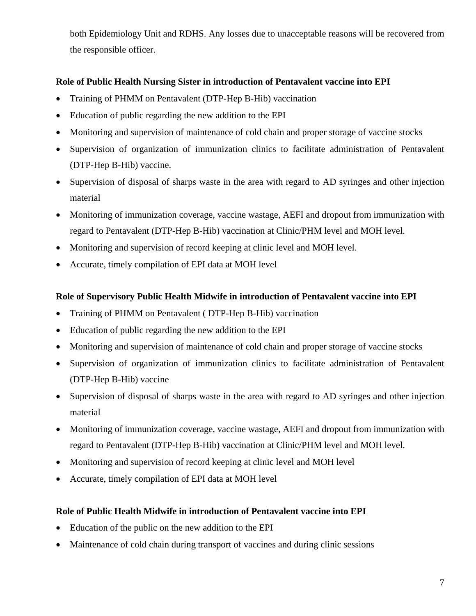both Epidemiology Unit and RDHS. Any losses due to unacceptable reasons will be recovered from the responsible officer.

# **Role of Public Health Nursing Sister in introduction of Pentavalent vaccine into EPI**

- Training of PHMM on Pentavalent (DTP-Hep B-Hib) vaccination
- Education of public regarding the new addition to the EPI
- Monitoring and supervision of maintenance of cold chain and proper storage of vaccine stocks
- Supervision of organization of immunization clinics to facilitate administration of Pentavalent (DTP-Hep B-Hib) vaccine.
- Supervision of disposal of sharps waste in the area with regard to AD syringes and other injection material
- Monitoring of immunization coverage, vaccine wastage, AEFI and dropout from immunization with regard to Pentavalent (DTP-Hep B-Hib) vaccination at Clinic/PHM level and MOH level.
- Monitoring and supervision of record keeping at clinic level and MOH level.
- Accurate, timely compilation of EPI data at MOH level

### **Role of Supervisory Public Health Midwife in introduction of Pentavalent vaccine into EPI**

- Training of PHMM on Pentavalent (DTP-Hep B-Hib) vaccination
- Education of public regarding the new addition to the EPI
- Monitoring and supervision of maintenance of cold chain and proper storage of vaccine stocks
- Supervision of organization of immunization clinics to facilitate administration of Pentavalent (DTP-Hep B-Hib) vaccine
- Supervision of disposal of sharps waste in the area with regard to AD syringes and other injection material
- Monitoring of immunization coverage, vaccine wastage, AEFI and dropout from immunization with regard to Pentavalent (DTP-Hep B-Hib) vaccination at Clinic/PHM level and MOH level.
- Monitoring and supervision of record keeping at clinic level and MOH level
- Accurate, timely compilation of EPI data at MOH level

### **Role of Public Health Midwife in introduction of Pentavalent vaccine into EPI**

- Education of the public on the new addition to the EPI
- Maintenance of cold chain during transport of vaccines and during clinic sessions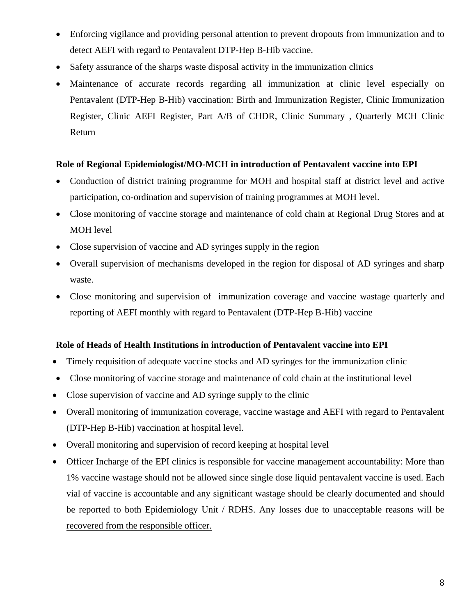- Enforcing vigilance and providing personal attention to prevent dropouts from immunization and to detect AEFI with regard to Pentavalent DTP-Hep B-Hib vaccine.
- Safety assurance of the sharps waste disposal activity in the immunization clinics
- Maintenance of accurate records regarding all immunization at clinic level especially on Pentavalent (DTP-Hep B-Hib) vaccination: Birth and Immunization Register, Clinic Immunization Register, Clinic AEFI Register, Part A/B of CHDR, Clinic Summary , Quarterly MCH Clinic Return

### **Role of Regional Epidemiologist/MO-MCH in introduction of Pentavalent vaccine into EPI**

- Conduction of district training programme for MOH and hospital staff at district level and active participation, co-ordination and supervision of training programmes at MOH level.
- Close monitoring of vaccine storage and maintenance of cold chain at Regional Drug Stores and at MOH level
- Close supervision of vaccine and AD syringes supply in the region
- Overall supervision of mechanisms developed in the region for disposal of AD syringes and sharp waste.
- Close monitoring and supervision of immunization coverage and vaccine wastage quarterly and reporting of AEFI monthly with regard to Pentavalent (DTP-Hep B-Hib) vaccine

#### **Role of Heads of Health Institutions in introduction of Pentavalent vaccine into EPI**

- Timely requisition of adequate vaccine stocks and AD syringes for the immunization clinic
- Close monitoring of vaccine storage and maintenance of cold chain at the institutional level
- Close supervision of vaccine and AD syringe supply to the clinic
- Overall monitoring of immunization coverage, vaccine wastage and AEFI with regard to Pentavalent (DTP-Hep B-Hib) vaccination at hospital level.
- Overall monitoring and supervision of record keeping at hospital level
- Officer Incharge of the EPI clinics is responsible for vaccine management accountability: More than 1% vaccine wastage should not be allowed since single dose liquid pentavalent vaccine is used. Each vial of vaccine is accountable and any significant wastage should be clearly documented and should be reported to both Epidemiology Unit / RDHS. Any losses due to unacceptable reasons will be recovered from the responsible officer.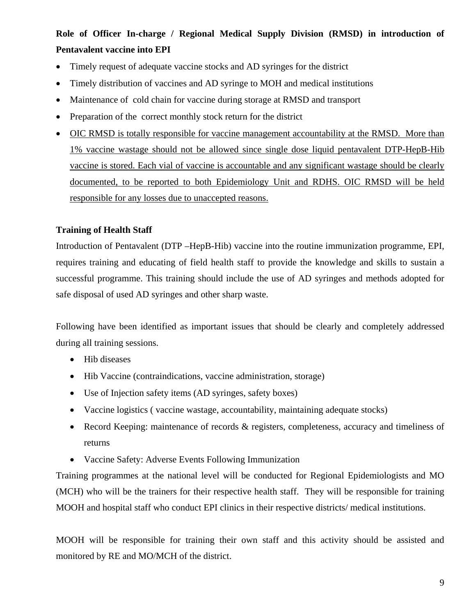# **Role of Officer In-charge / Regional Medical Supply Division (RMSD) in introduction of Pentavalent vaccine into EPI**

- Timely request of adequate vaccine stocks and AD syringes for the district
- Timely distribution of vaccines and AD syringe to MOH and medical institutions
- Maintenance of cold chain for vaccine during storage at RMSD and transport
- Preparation of the correct monthly stock return for the district
- OIC RMSD is totally responsible for vaccine management accountability at the RMSD. More than 1% vaccine wastage should not be allowed since single dose liquid pentavalent DTP-HepB-Hib vaccine is stored. Each vial of vaccine is accountable and any significant wastage should be clearly documented, to be reported to both Epidemiology Unit and RDHS. OIC RMSD will be held responsible for any losses due to unaccepted reasons.

#### **Training of Health Staff**

Introduction of Pentavalent (DTP –HepB-Hib) vaccine into the routine immunization programme, EPI, requires training and educating of field health staff to provide the knowledge and skills to sustain a successful programme. This training should include the use of AD syringes and methods adopted for safe disposal of used AD syringes and other sharp waste.

Following have been identified as important issues that should be clearly and completely addressed during all training sessions.

- Hib diseases
- Hib Vaccine (contraindications, vaccine administration, storage)
- Use of Injection safety items (AD syringes, safety boxes)
- Vaccine logistics ( vaccine wastage, accountability, maintaining adequate stocks)
- Record Keeping: maintenance of records & registers, completeness, accuracy and timeliness of returns
- Vaccine Safety: Adverse Events Following Immunization

Training programmes at the national level will be conducted for Regional Epidemiologists and MO (MCH) who will be the trainers for their respective health staff. They will be responsible for training MOOH and hospital staff who conduct EPI clinics in their respective districts/ medical institutions.

MOOH will be responsible for training their own staff and this activity should be assisted and monitored by RE and MO/MCH of the district.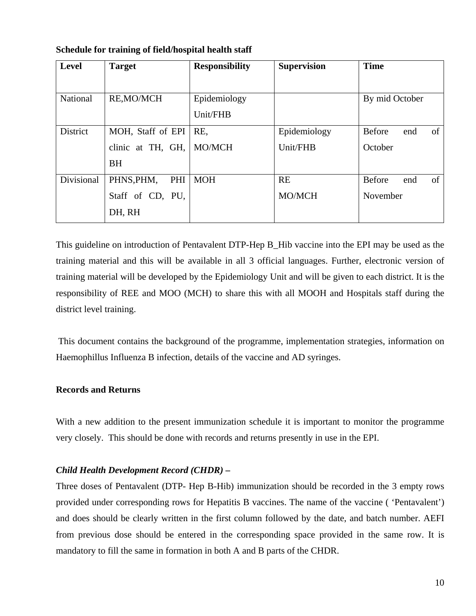| <b>Level</b>    | <b>Target</b>        | <b>Responsibility</b> | <b>Supervision</b> | <b>Time</b>                |
|-----------------|----------------------|-----------------------|--------------------|----------------------------|
|                 |                      |                       |                    |                            |
| National        | <b>RE,MO/MCH</b>     | Epidemiology          |                    | By mid October             |
|                 |                      | Unit/FHB              |                    |                            |
| <b>District</b> | MOH, Staff of EPI    | RE.                   | Epidemiology       | Before<br>of<br>end        |
|                 | clinic at TH, $GH$ , | MO/MCH                | Unit/FHB           | October                    |
|                 | <b>BH</b>            |                       |                    |                            |
| Divisional      | PHNS, PHM,<br>PHI    | <b>MOH</b>            | <b>RE</b>          | <b>Before</b><br>of<br>end |
|                 | Staff of CD, PU,     |                       | MO/MCH             | November                   |
|                 | DH, RH               |                       |                    |                            |

**Schedule for training of field/hospital health staff** 

This guideline on introduction of Pentavalent DTP-Hep B\_Hib vaccine into the EPI may be used as the training material and this will be available in all 3 official languages. Further, electronic version of training material will be developed by the Epidemiology Unit and will be given to each district. It is the responsibility of REE and MOO (MCH) to share this with all MOOH and Hospitals staff during the district level training.

 This document contains the background of the programme, implementation strategies, information on Haemophillus Influenza B infection, details of the vaccine and AD syringes.

#### **Records and Returns**

With a new addition to the present immunization schedule it is important to monitor the programme very closely. This should be done with records and returns presently in use in the EPI.

#### *Child Health Development Record (CHDR) –*

Three doses of Pentavalent (DTP- Hep B-Hib) immunization should be recorded in the 3 empty rows provided under corresponding rows for Hepatitis B vaccines. The name of the vaccine ( 'Pentavalent') and does should be clearly written in the first column followed by the date, and batch number. AEFI from previous dose should be entered in the corresponding space provided in the same row. It is mandatory to fill the same in formation in both A and B parts of the CHDR.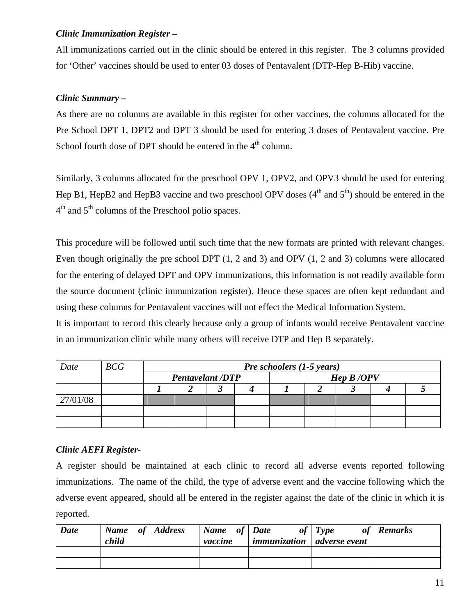### *Clinic Immunization Register –*

All immunizations carried out in the clinic should be entered in this register. The 3 columns provided for 'Other' vaccines should be used to enter 03 doses of Pentavalent (DTP-Hep B-Hib) vaccine.

### *Clinic Summary* **–**

As there are no columns are available in this register for other vaccines, the columns allocated for the Pre School DPT 1, DPT2 and DPT 3 should be used for entering 3 doses of Pentavalent vaccine. Pre School fourth dose of DPT should be entered in the  $4<sup>th</sup>$  column.

Similarly, 3 columns allocated for the preschool OPV 1, OPV2, and OPV3 should be used for entering Hep B1, HepB2 and HepB3 vaccine and two preschool OPV doses  $(4<sup>th</sup>$  and  $5<sup>th</sup>)$  should be entered in the  $4<sup>th</sup>$  and  $5<sup>th</sup>$  columns of the Preschool polio spaces.

This procedure will be followed until such time that the new formats are printed with relevant changes. Even though originally the pre school DPT (1, 2 and 3) and OPV (1, 2 and 3) columns were allocated for the entering of delayed DPT and OPV immunizations, this information is not readily available form the source document (clinic immunization register). Hence these spaces are often kept redundant and using these columns for Pentavalent vaccines will not effect the Medical Information System.

It is important to record this clearly because only a group of infants would receive Pentavalent vaccine in an immunization clinic while many others will receive DTP and Hep B separately.

| Date     | BCG | <b>Pre schoolers <math>(1-5</math> years)</b> |  |  |  |           |  |  |  |  |
|----------|-----|-----------------------------------------------|--|--|--|-----------|--|--|--|--|
|          |     | <b>Pentavelant /DTP</b>                       |  |  |  | Hep B/OPV |  |  |  |  |
|          |     |                                               |  |  |  |           |  |  |  |  |
| 27/01/08 |     |                                               |  |  |  |           |  |  |  |  |
|          |     |                                               |  |  |  |           |  |  |  |  |
|          |     |                                               |  |  |  |           |  |  |  |  |

### *Clinic AEFI Register-*

A register should be maintained at each clinic to record all adverse events reported following immunizations. The name of the child, the type of adverse event and the vaccine following which the adverse event appeared, should all be entered in the register against the date of the clinic in which it is reported.

| <b>Date</b> | Name of Address<br>child | Name of Date<br>vaccine | of<br>$ $ immunization $ $ adverse event | Type<br>of | <b>Remarks</b> |
|-------------|--------------------------|-------------------------|------------------------------------------|------------|----------------|
|             |                          |                         |                                          |            |                |
|             |                          |                         |                                          |            |                |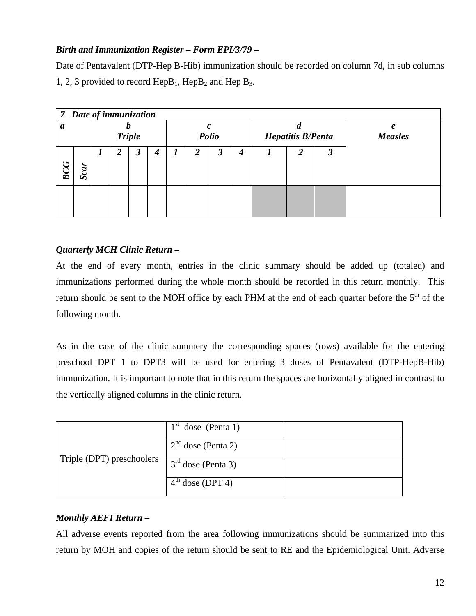# *Birth and Immunization Register – Form EPI/3/79 –*

Date of Pentavalent (DTP-Hep B-Hib) immunization should be recorded on column 7d, in sub columns 1, 2, 3 provided to record  $\text{HepB}_1$ ,  $\text{HepB}_2$  and  $\text{HepB}_3$ .

|         | 7 Date of immunization |   |               |                      |       |  |                          |                      |   |                     |   |   |  |
|---------|------------------------|---|---------------|----------------------|-------|--|--------------------------|----------------------|---|---------------------|---|---|--|
| a       |                        |   | <b>Triple</b> |                      | Polio |  | <b>Hepatitis B/Penta</b> |                      |   | e<br><b>Measles</b> |   |   |  |
| רי<br>ă | Scar                   | 1 | 2             | $\boldsymbol{\beta}$ | 4     |  | 2                        | $\boldsymbol{\beta}$ | 4 |                     | 2 | 3 |  |
|         |                        |   |               |                      |       |  |                          |                      |   |                     |   |   |  |

### *Quarterly MCH Clinic Return* **–**

At the end of every month, entries in the clinic summary should be added up (totaled) and immunizations performed during the whole month should be recorded in this return monthly. This return should be sent to the MOH office by each PHM at the end of each quarter before the 5<sup>th</sup> of the following month.

As in the case of the clinic summery the corresponding spaces (rows) available for the entering preschool DPT 1 to DPT3 will be used for entering 3 doses of Pentavalent (DTP-HepB-Hib) immunization. It is important to note that in this return the spaces are horizontally aligned in contrast to the vertically aligned columns in the clinic return.

|                           | $1st$ dose (Penta 1) |  |
|---------------------------|----------------------|--|
|                           | $2nd$ dose (Penta 2) |  |
| Triple (DPT) preschoolers | $3rd$ dose (Penta 3) |  |
|                           | $4th$ dose (DPT 4)   |  |

# *Monthly AEFI Return* **–**

All adverse events reported from the area following immunizations should be summarized into this return by MOH and copies of the return should be sent to RE and the Epidemiological Unit. Adverse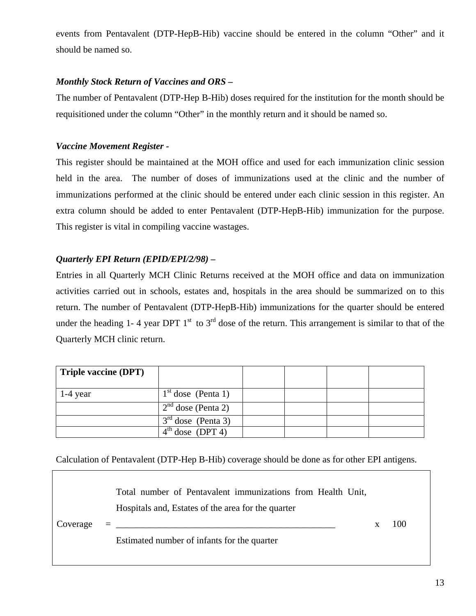events from Pentavalent (DTP-HepB-Hib) vaccine should be entered in the column "Other" and it should be named so.

### *Monthly Stock Return of Vaccines and ORS –*

The number of Pentavalent (DTP-Hep B-Hib) doses required for the institution for the month should be requisitioned under the column "Other" in the monthly return and it should be named so.

### *Vaccine Movement Register -*

This register should be maintained at the MOH office and used for each immunization clinic session held in the area. The number of doses of immunizations used at the clinic and the number of immunizations performed at the clinic should be entered under each clinic session in this register. An extra column should be added to enter Pentavalent (DTP-HepB-Hib) immunization for the purpose. This register is vital in compiling vaccine wastages.

# *Quarterly EPI Return (EPID/EPI/2/98) –*

Entries in all Quarterly MCH Clinic Returns received at the MOH office and data on immunization activities carried out in schools, estates and, hospitals in the area should be summarized on to this return. The number of Pentavalent (DTP-HepB-Hib) immunizations for the quarter should be entered under the heading 1-4 year DPT  $1<sup>st</sup>$  to  $3<sup>rd</sup>$  dose of the return. This arrangement is similar to that of the Quarterly MCH clinic return.

| <b>Triple vaccine (DPT)</b> |                      |  |  |
|-----------------------------|----------------------|--|--|
| $1-4$ year                  | $1st$ dose (Penta 1) |  |  |
|                             | $2nd$ dose (Penta 2) |  |  |
|                             | $3rd$ dose (Penta 3) |  |  |
|                             | $4th$ dose (DPT 4)   |  |  |

Calculation of Pentavalent (DTP-Hep B-Hib) coverage should be done as for other EPI antigens.

 $Coverage =$ Total number of Pentavalent immunizations from Health Unit, Hospitals and, Estates of the area for the quarter  $\sim$  x 100 Estimated number of infants for the quarter

13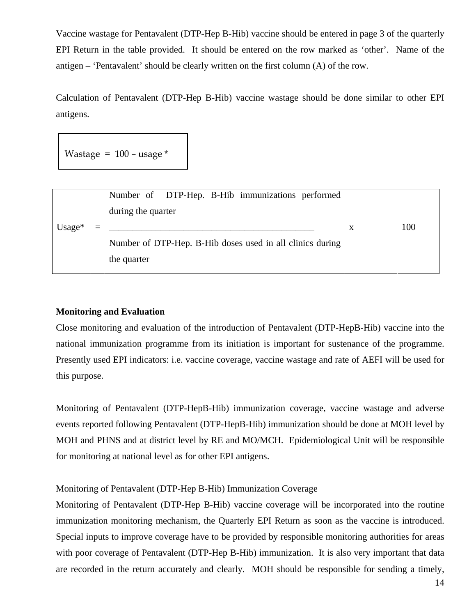Vaccine wastage for Pentavalent (DTP-Hep B-Hib) vaccine should be entered in page 3 of the quarterly EPI Return in the table provided. It should be entered on the row marked as 'other'. Name of the antigen – 'Pentavalent' should be clearly written on the first column (A) of the row.

Calculation of Pentavalent (DTP-Hep B-Hib) vaccine wastage should be done similar to other EPI antigens.

Wastage =  $100 -$  usage  $*$ 

|           |          | Number of DTP-Hep. B-Hib immunizations performed          |   |     |
|-----------|----------|-----------------------------------------------------------|---|-----|
|           |          | during the quarter                                        |   |     |
| Usage $*$ | $\equiv$ |                                                           | X | 100 |
|           |          | Number of DTP-Hep. B-Hib doses used in all clinics during |   |     |
|           |          | the quarter                                               |   |     |

#### **Monitoring and Evaluation**

Close monitoring and evaluation of the introduction of Pentavalent (DTP-HepB-Hib) vaccine into the national immunization programme from its initiation is important for sustenance of the programme. Presently used EPI indicators: i.e. vaccine coverage, vaccine wastage and rate of AEFI will be used for this purpose.

Monitoring of Pentavalent (DTP-HepB-Hib) immunization coverage, vaccine wastage and adverse events reported following Pentavalent (DTP-HepB-Hib) immunization should be done at MOH level by MOH and PHNS and at district level by RE and MO/MCH. Epidemiological Unit will be responsible for monitoring at national level as for other EPI antigens.

#### Monitoring of Pentavalent (DTP-Hep B-Hib) Immunization Coverage

Monitoring of Pentavalent (DTP-Hep B-Hib) vaccine coverage will be incorporated into the routine immunization monitoring mechanism, the Quarterly EPI Return as soon as the vaccine is introduced. Special inputs to improve coverage have to be provided by responsible monitoring authorities for areas with poor coverage of Pentavalent (DTP-Hep B-Hib) immunization. It is also very important that data are recorded in the return accurately and clearly. MOH should be responsible for sending a timely,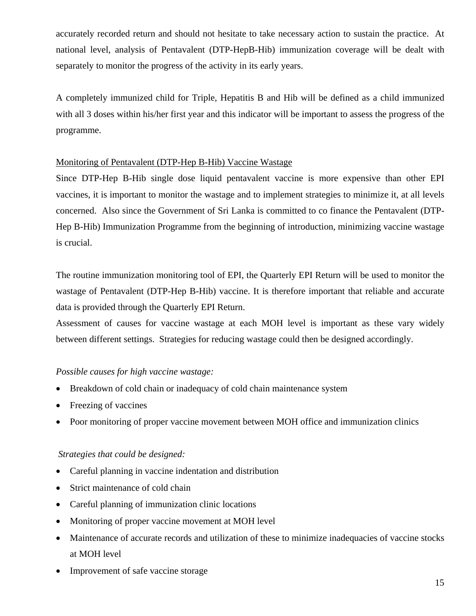accurately recorded return and should not hesitate to take necessary action to sustain the practice. At national level, analysis of Pentavalent (DTP-HepB-Hib) immunization coverage will be dealt with separately to monitor the progress of the activity in its early years.

A completely immunized child for Triple, Hepatitis B and Hib will be defined as a child immunized with all 3 doses within his/her first year and this indicator will be important to assess the progress of the programme.

### Monitoring of Pentavalent (DTP-Hep B-Hib) Vaccine Wastage

Since DTP-Hep B-Hib single dose liquid pentavalent vaccine is more expensive than other EPI vaccines, it is important to monitor the wastage and to implement strategies to minimize it, at all levels concerned. Also since the Government of Sri Lanka is committed to co finance the Pentavalent (DTP-Hep B-Hib) Immunization Programme from the beginning of introduction, minimizing vaccine wastage is crucial.

The routine immunization monitoring tool of EPI, the Quarterly EPI Return will be used to monitor the wastage of Pentavalent (DTP-Hep B-Hib) vaccine. It is therefore important that reliable and accurate data is provided through the Quarterly EPI Return.

Assessment of causes for vaccine wastage at each MOH level is important as these vary widely between different settings. Strategies for reducing wastage could then be designed accordingly.

### *Possible causes for high vaccine wastage:*

- Breakdown of cold chain or inadequacy of cold chain maintenance system
- Freezing of vaccines
- Poor monitoring of proper vaccine movement between MOH office and immunization clinics

#### *Strategies that could be designed:*

- Careful planning in vaccine indentation and distribution
- Strict maintenance of cold chain
- Careful planning of immunization clinic locations
- Monitoring of proper vaccine movement at MOH level
- Maintenance of accurate records and utilization of these to minimize inadequacies of vaccine stocks at MOH level
- Improvement of safe vaccine storage